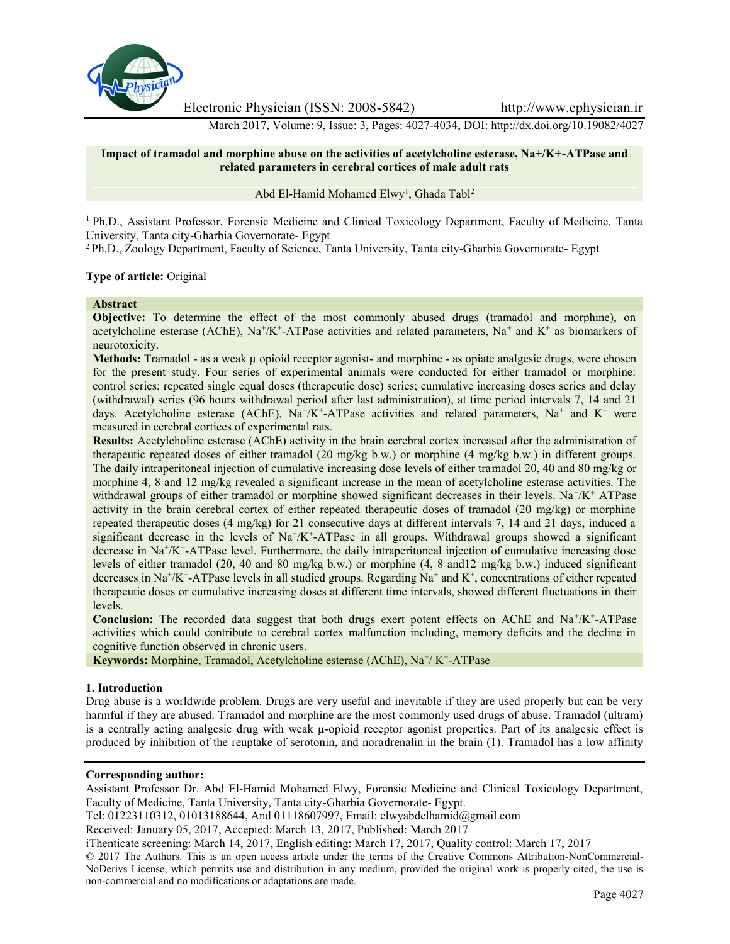

Electronic Physician (ISSN: 2008-5842) http://www.ephysician.ir

March 2017, Volume: 9, Issue: 3, Pages: 4027-4034, DOI: http://dx.doi.org/10.19082/4027

## **Impact of tramadol and morphine abuse on the activities of acetylcholine esterase, Na+/K+-ATPase and related parameters in cerebral cortices of male adult rats**

Abd El-Hamid Mohamed Elwy<sup>1</sup>, Ghada Tabl<sup>2</sup>

<sup>1</sup> Ph.D., Assistant Professor, Forensic Medicine and Clinical Toxicology Department, Faculty of Medicine, Tanta University, Tanta city-Gharbia Governorate- Egypt

<sup>2</sup> Ph.D., Zoology Department, Faculty of Science, Tanta University, Tanta city-Gharbia Governorate- Egypt

### **Type of article:** Original

### **Abstract**

**Objective:** To determine the effect of the most commonly abused drugs (tramadol and morphine), on acetylcholine esterase (AChE),  $Na^+/K^+$ -ATPase activities and related parameters,  $Na^+$  and  $K^+$  as biomarkers of neurotoxicity.

**Methods:** Tramadol - as a weak  $\mu$  opioid receptor agonist- and morphine - as opiate analgesic drugs, were chosen for the present study. Four series of experimental animals were conducted for either tramadol or morphine: control series; repeated single equal doses (therapeutic dose) series; cumulative increasing doses series and delay (withdrawal) series (96 hours withdrawal period after last administration), at time period intervals 7, 14 and 21 days. Acetylcholine esterase (AChE),  $Na^+/K^+$ -ATPase activities and related parameters,  $Na^+$  and  $K^+$  were measured in cerebral cortices of experimental rats.

**Results:** Acetylcholine esterase (AChE) activity in the brain cerebral cortex increased after the administration of therapeutic repeated doses of either tramadol (20 mg/kg b.w.) or morphine (4 mg/kg b.w.) in different groups. The daily intraperitoneal injection of cumulative increasing dose levels of either tramadol 20, 40 and 80 mg/kg or morphine 4, 8 and 12 mg/kg revealed a significant increase in the mean of acetylcholine esterase activities. The withdrawal groups of either tramadol or morphine showed significant decreases in their levels.  $Na^+/K^+$  ATPase activity in the brain cerebral cortex of either repeated therapeutic doses of tramadol (20 mg/kg) or morphine repeated therapeutic doses (4 mg/kg) for 21 consecutive days at different intervals 7, 14 and 21 days, induced a significant decrease in the levels of  $Na<sup>+</sup>/K<sup>+</sup>-ATP$ ase in all groups. Withdrawal groups showed a significant decrease in  $Na^+/K^+$ -ATPase level. Furthermore, the daily intraperitoneal injection of cumulative increasing dose levels of either tramadol (20, 40 and 80 mg/kg b.w.) or morphine (4, 8 and12 mg/kg b.w.) induced significant decreases in Na<sup>+</sup>/K<sup>+</sup>-ATPase levels in all studied groups. Regarding Na<sup>+</sup> and K<sup>+</sup>, concentrations of either repeated therapeutic doses or cumulative increasing doses at different time intervals, showed different fluctuations in their levels.

Conclusion: The recorded data suggest that both drugs exert potent effects on AChE and Na<sup>+</sup>/K<sup>+</sup>-ATPase activities which could contribute to cerebral cortex malfunction including, memory deficits and the decline in cognitive function observed in chronic users.

Keywords: Morphine, Tramadol, Acetylcholine esterase (AChE), Na<sup>+</sup>/K<sup>+</sup>-ATPase

## **1. Introduction**

Drug abuse is a worldwide problem. Drugs are very useful and inevitable if they are used properly but can be very harmful if they are abused. Tramadol and morphine are the most commonly used drugs of abuse. Tramadol (ultram) is a centrally acting analgesic drug with weak μ-opioid receptor agonist properties. Part of its analgesic effect is produced by inhibition of the reuptake of serotonin, and noradrenalin in the brain (1). Tramadol has a low affinity

### **Corresponding author:**

Assistant Professor Dr. Abd El-Hamid Mohamed Elwy, Forensic Medicine and Clinical Toxicology Department, Faculty of Medicine, Tanta University, Tanta city-Gharbia Governorate- Egypt.

Tel: 01223110312, 01013188644, And 01118607997, Email: elwyabdelhamid@gmail.com

Received: January 05, 2017, Accepted: March 13, 2017, Published: March 2017

iThenticate screening: March 14, 2017, English editing: March 17, 2017, Quality control: March 17, 2017

© 2017 The Authors. This is an open access article under the terms of the Creative Commons Attribution-NonCommercial- NoDerivs License, which permits use and distribution in any medium, provided the original work is properly cited, the use is non-commercial and no modifications or adaptations are made.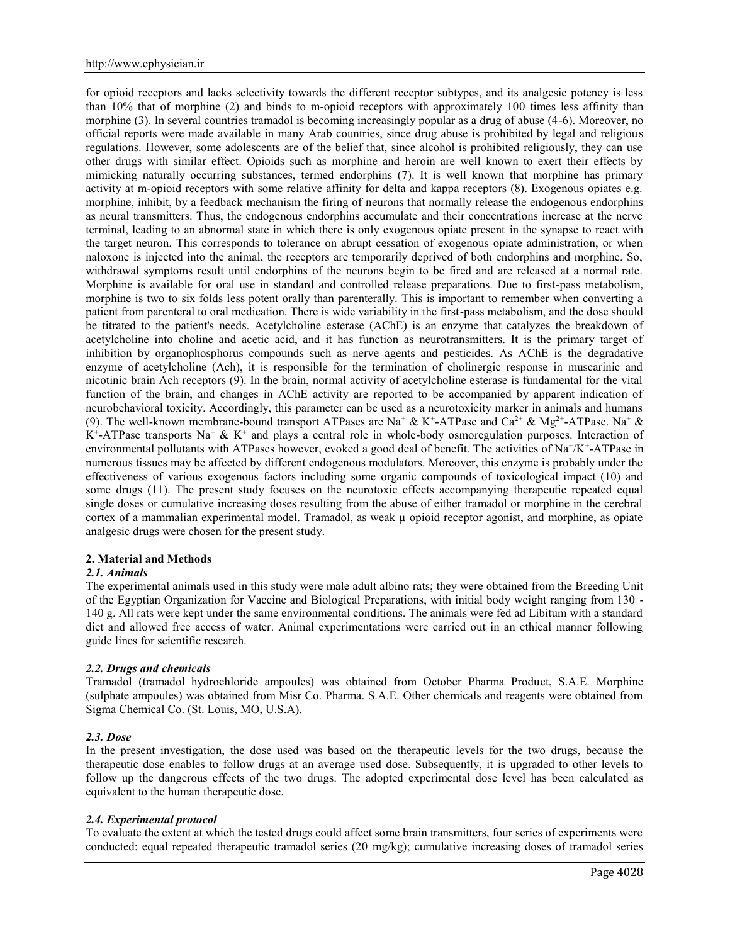for opioid receptors and lacks selectivity towards the different receptor subtypes, and its analgesic potency is less than 10% that of morphine (2) and binds to m-opioid receptors with approximately 100 times less affinity than morphine (3). In several countries tramadol is becoming increasingly popular as a drug of abuse (4-6). Moreover, no official reports were made available in many Arab countries, since drug abuse is prohibited by legal and religious regulations. However, some adolescents are of the belief that, since alcohol is prohibited religiously, they can use other drugs with similar effect. Opioids such as morphine and heroin are well known to exert their effects by mimicking naturally occurring substances, termed endorphins (7). It is well known that morphine has primary activity at m-opioid receptors with some relative affinity for delta and kappa receptors (8). Exogenous opiates e.g. morphine, inhibit, by a feedback mechanism the firing of neurons that normally release the endogenous endorphins as neural transmitters. Thus, the endogenous endorphins accumulate and their concentrations increase at the nerve terminal, leading to an abnormal state in which there is only exogenous opiate present in the synapse to react with the target neuron. This corresponds to tolerance on abrupt cessation of exogenous opiate administration, or when naloxone is injected into the animal, the receptors are temporarily deprived of both endorphins and morphine. So, withdrawal symptoms result until endorphins of the neurons begin to be fired and are released at a normal rate. Morphine is available for oral use in standard and controlled release preparations. Due to first-pass metabolism, morphine is two to six folds less potent orally than parenterally. This is important to remember when converting a patient from parenteral to oral medication. There is wide variability in the first-pass metabolism, and the dose should be titrated to the patient's needs. Acetylcholine esterase (AChE) is an enzyme that catalyzes the breakdown of acetylcholine into choline and acetic acid, and it has function as neurotransmitters. It is the primary target of inhibition by organophosphorus compounds such as nerve agents and pesticides. As AChE is the degradative enzyme of acetylcholine (Ach), it is responsible for the termination of cholinergic response in muscarinic and nicotinic brain Ach receptors (9). In the brain, normal activity of acetylcholine esterase is fundamental for the vital function of the brain, and changes in AChE activity are reported to be accompanied by apparent indication of neurobehavioral toxicity. Accordingly, this parameter can be used as a neurotoxicity marker in animals and humans (9). The well-known membrane-bound transport ATPases are Na<sup>+</sup> & K<sup>+</sup>-ATPase and Ca<sup>2+</sup> & Mg<sup>2+</sup>-ATPase. Na<sup>+</sup> &  $K^+$ -ATPase transports Na<sup>+</sup> & K<sup>+</sup> and plays a central role in whole-body osmoregulation purposes. Interaction of environmental pollutants with ATPases however, evoked a good deal of benefit. The activities of Na<sup>+</sup>/K<sup>+</sup>-ATPase in numerous tissues may be affected by different endogenous modulators. Moreover, this enzyme is probably under the effectiveness of various exogenous factors including some organic compounds of toxicological impact (10) and some drugs (11). The present study focuses on the neurotoxic effects accompanying therapeutic repeated equal single doses or cumulative increasing doses resulting from the abuse of either tramadol or morphine in the cerebral cortex of a mammalian experimental model. Tramadol, as weak µ opioid receptor agonist, and morphine, as opiate analgesic drugs were chosen for the present study.

## **2. Material and Methods**

### *2.1. Animals*

The experimental animals used in this study were male adult albino rats; they were obtained from the Breeding Unit of the Egyptian Organization for Vaccine and Biological Preparations, with initial body weight ranging from 130 - 140 g. All rats were kept under the same environmental conditions. The animals were fed ad Libitum with a standard diet and allowed free access of water. Animal experimentations were carried out in an ethical manner following guide lines for scientific research.

## *2.2. Drugs and chemicals*

Tramadol (tramadol hydrochloride ampoules) was obtained from October Pharma Product, S.A.E. Morphine (sulphate ampoules) was obtained from Misr Co. Pharma. S.A.E. Other chemicals and reagents were obtained from Sigma Chemical Co. (St. Louis, MO, U.S.A).

### *2.3. Dose*

In the present investigation, the dose used was based on the therapeutic levels for the two drugs, because the therapeutic dose enables to follow drugs at an average used dose. Subsequently, it is upgraded to other levels to follow up the dangerous effects of the two drugs. The adopted experimental dose level has been calculated as equivalent to the human therapeutic dose.

## *2.4. Experimental protocol*

To evaluate the extent at which the tested drugs could affect some brain transmitters, four series of experiments were conducted: equal repeated therapeutic tramadol series (20 mg/kg); cumulative increasing doses of tramadol series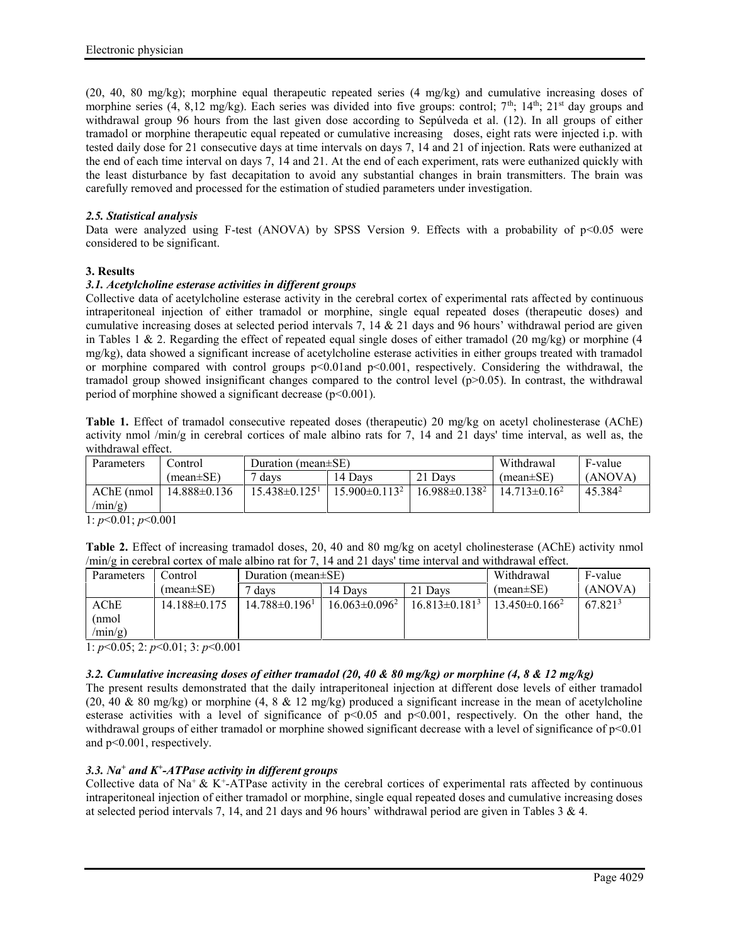(20, 40, 80 mg/kg); morphine equal therapeutic repeated series (4 mg/kg) and cumulative increasing doses of morphine series (4, 8,12 mg/kg). Each series was divided into five groups: control;  $7<sup>th</sup>$ ;  $14<sup>th</sup>$ ;  $21<sup>st</sup>$  day groups and withdrawal group 96 hours from the last given dose according to Sepúlveda et al. (12). In all groups of either tramadol or morphine therapeutic equal repeated or cumulative increasing doses, eight rats were injected i.p. with tested daily dose for 21 consecutive days at time intervals on days 7, 14 and 21 of injection. Rats were euthanized at the end of each time interval on days 7, 14 and 21. At the end of each experiment, rats were euthanized quickly with the least disturbance by fast decapitation to avoid any substantial changes in brain transmitters. The brain was carefully removed and processed for the estimation of studied parameters under investigation.

## *2.5. Statistical analysis*

Data were analyzed using F-test (ANOVA) by SPSS Version 9. Effects with a probability of p<0.05 were considered to be significant.

# **3. Results**

## *3.1. Acetylcholine esterase activities in different groups*

Collective data of acetylcholine esterase activity in the cerebral cortex of experimental rats affected by continuous intraperitoneal injection of either tramadol or morphine, single equal repeated doses (therapeutic doses) and cumulative increasing doses at selected period intervals 7, 14  $\&$  21 days and 96 hours' withdrawal period are given in Tables 1  $\&$  2. Regarding the effect of repeated equal single doses of either tramadol (20 mg/kg) or morphine (4 mg/kg), data showed a significant increase of acetylcholine esterase activities in either groups treated with tramadol or morphine compared with control groups p<0.01and p<0.001, respectively. Considering the withdrawal, the tramadol group showed insignificant changes compared to the control level (p>0.05). In contrast, the withdrawal period of morphine showed a significant decrease  $(p<0.001)$ .

**Table 1.** Effect of tramadol consecutive repeated doses (therapeutic) 20 mg/kg on acetyl cholinesterase (AChE) activity nmol /min/g in cerebral cortices of male albino rats for 7, 14 and 21 days' time interval, as well as, the withdrawal effect.

| Parameters | . control        | Duration (mean $\pm$ SE)      |                      | Withdrawal           | F-value           |                     |
|------------|------------------|-------------------------------|----------------------|----------------------|-------------------|---------------------|
|            | $(mean \pm SE)$  | davs                          | 14 Davs              | $(mean \pm SE)$      | (ANOVA)           |                     |
| AChE (nmol | $14.888\pm0.136$ | $15.438\pm0.125$ <sup>1</sup> | $15.900 \pm 0.113^2$ | $16.988 \pm 0.138^2$ | $14.713\pm0.16^2$ | 45.384 <sup>2</sup> |
| /mn/g)     |                  |                               |                      |                      |                   |                     |

1: *p*<0.01; *p*<0.001

| Table 2. Effect of increasing tramadol doses, 20, 40 and 80 mg/kg on acetyl cholinesterase (AChE) activity nmol           |  |
|---------------------------------------------------------------------------------------------------------------------------|--|
| $\langle min/g \rangle$ in cerebral cortex of male albino rat for 7, 14 and 21 days' time interval and withdrawal effect. |  |

| Parameters  | Control          | Duration (mean $\pm$ SE)        |                      | Withdrawal         | F-value            |                     |
|-------------|------------------|---------------------------------|----------------------|--------------------|--------------------|---------------------|
|             | $(mean \pm SE)$  | davs                            | 14 Davs              | $(mean \pm SE)$    | (ANOVA)            |                     |
| $\rm{AChE}$ | $14.188\pm0.175$ | $14.788 \pm 0.196$ <sup>1</sup> | $16.063 \pm 0.096^2$ | $16.813\pm0.181^3$ | $13.450\pm0.166^2$ | 67.821 <sup>3</sup> |
| (nmol       |                  |                                 |                      |                    |                    |                     |
| $/min/g$ )  |                  |                                 |                      |                    |                    |                     |

1: *p*<0.05; 2: *p*<0.01; 3: *p*<0.001

# *3.2. Cumulative increasing doses of either tramadol (20, 40 & 80 mg/kg) or morphine (4, 8 & 12 mg/kg)*

The present results demonstrated that the daily intraperitoneal injection at different dose levels of either tramadol (20, 40 & 80 mg/kg) or morphine (4, 8 & 12 mg/kg) produced a significant increase in the mean of acetylcholine esterase activities with a level of significance of  $p<0.05$  and  $p<0.001$ , respectively. On the other hand, the withdrawal groups of either tramadol or morphine showed significant decrease with a level of significance of  $p<0.01$ and p<0.001, respectively.

## *3.3. Na<sup>+</sup> and K<sup>+</sup> -ATPase activity in different groups*

Collective data of Na<sup>+</sup> & K<sup>+</sup>-ATPase activity in the cerebral cortices of experimental rats affected by continuous intraperitoneal injection of either tramadol or morphine, single equal repeated doses and cumulative increasing doses at selected period intervals 7, 14, and 21 days and 96 hours' withdrawal period are given in Tables 3 & 4.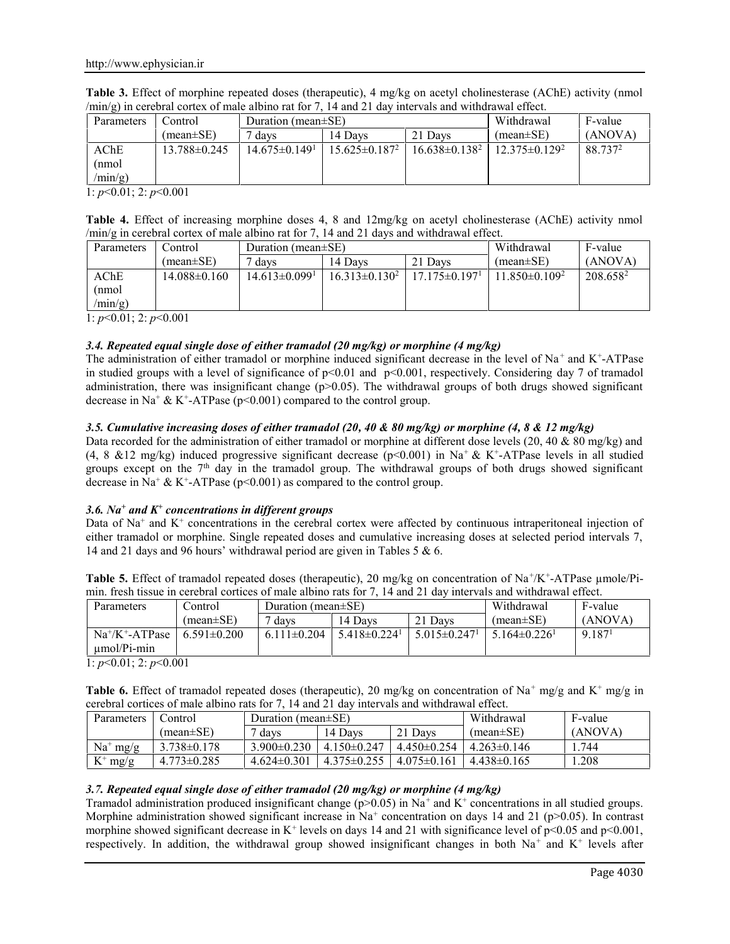| Table 3. Effect of morphine repeated doses (therapeutic), 4 mg/kg on acetyl cholinesterase (AChE) activity (nmol    |  |
|---------------------------------------------------------------------------------------------------------------------|--|
| $\langle min/g \rangle$ in cerebral cortex of male albino rat for 7, 14 and 21 day intervals and withdrawal effect. |  |

| Parameters | Control         | Duration (mean $\pm$ SE)        |                      | Withdrawal           | F-value              |                     |
|------------|-----------------|---------------------------------|----------------------|----------------------|----------------------|---------------------|
|            | (mean $\pm$ SE) | ' davs                          | 14 Davs              | $(mean \pm SE)$      | (ANOVA)              |                     |
| AChE       | 13.788±0.245    | $14.675 \pm 0.149$ <sup>1</sup> | $15.625 \pm 0.187^2$ | $16.638 \pm 0.138^2$ | $12.375 \pm 0.129^2$ | 88.737 <sup>2</sup> |
| (nmol      |                 |                                 |                      |                      |                      |                     |
| /min/g)    |                 |                                 |                      |                      |                      |                     |

1: *p*<0.01; 2: *p*<0.001

| Table 4. Effect of increasing morphine doses 4, 8 and 12mg/kg on acetyl cholinesterase (AChE) activity nmol |  |  |  |  |
|-------------------------------------------------------------------------------------------------------------|--|--|--|--|
| $\frac{\text{min}}{g}$ in cerebral cortex of male albino rat for 7, 14 and 21 days and withdrawal effect.   |  |  |  |  |

| Parameters  | Control:         | Duration (mean $\pm$ SE)      |                    | Withdrawal                      | F-value                         |                      |
|-------------|------------------|-------------------------------|--------------------|---------------------------------|---------------------------------|----------------------|
|             | $(mean \pm SE)$  | davs                          | 14 Davs            | $(mean \pm SE)$                 | (ANOVA)                         |                      |
| $\rm{AChE}$ | $14.088\pm0.160$ | $14.613\pm0.099$ <sup>1</sup> | $16.313\pm0.130^2$ | $17.175 \pm 0.197$ <sup>1</sup> | 11 850 $\pm$ 0 109 <sup>2</sup> | 208.658 <sup>2</sup> |
| nmol)       |                  |                               |                    |                                 |                                 |                      |
| $/min/g$ )  |                  |                               |                    |                                 |                                 |                      |

1: *p*<0.01; 2: *p*<0.001

# *3.4. Repeated equal single dose of either tramadol (20 mg/kg) or morphine (4 mg/kg)*

The administration of either tramadol or morphine induced significant decrease in the level of  $Na<sup>+</sup>$  and  $K<sup>+</sup>$ -ATPase in studied groups with a level of significance of  $p<0.01$  and  $p<0.001$ , respectively. Considering day 7 of tramadol administration, there was insignificant change ( $p$  $>$ 0.05). The withdrawal groups of both drugs showed significant decrease in Na<sup>+</sup> & K<sup>+</sup>-ATPase ( $p$ <0.001) compared to the control group.

# *3.5. Cumulative increasing doses of either tramadol (20, 40 & 80 mg/kg) or morphine (4, 8 & 12 mg/kg)*

Data recorded for the administration of either tramadol or morphine at different dose levels  $(20, 40 \& 80 \text{ mg/kg})$  and (4, 8  $&12 \text{ mg/kg}$ ) induced progressive significant decrease (p<0.001) in Na<sup>+</sup>  $&$  K<sup>+</sup>-ATPase levels in all studied groups except on the  $7<sup>th</sup>$  day in the tramadol group. The withdrawal groups of both drugs showed significant decrease in Na<sup>+</sup> & K<sup>+</sup>-ATPase (p<0.001) as compared to the control group.

## *3.6. Na<sup>+</sup> and K<sup>+</sup> concentrations in different groups*

Data of  $Na^+$  and  $K^+$  concentrations in the cerebral cortex were affected by continuous intraperitoneal injection of either tramadol or morphine. Single repeated doses and cumulative increasing doses at selected period intervals 7, 14 and 21 days and 96 hours' withdrawal period are given in Tables 5 & 6.

Table 5. Effect of tramadol repeated doses (therapeutic), 20 mg/kg on concentration of Na<sup>+</sup>/K<sup>+</sup>-ATPase µmole/Pimin. fresh tissue in cerebral cortices of male albino rats for 7, 14 and 21 day intervals and withdrawal effect.

| Parameters        | Control           | Duration (mean $\pm$ SE) |                              | Withdrawal        | F-value        |                    |
|-------------------|-------------------|--------------------------|------------------------------|-------------------|----------------|--------------------|
|                   | $(mean \pm SE)$   | 7 days                   | 14 Davs                      | $(mean \pm SE)$   | (ANOVA)        |                    |
| $Na^+/K^-.ATPase$ | $6.591 \pm 0.200$ | $6.111 \pm 0.204$        | $5.418\pm0.224$ <sup>1</sup> | $5.015 \pm 0.247$ | $5164\pm0.226$ | 9.187 <sup>1</sup> |
| $umol/Pi-min$     |                   |                          |                              |                   |                |                    |

1: *p*<0.01; 2: *p*<0.001

**Table 6.** Effect of tramadol repeated doses (therapeutic), 20 mg/kg on concentration of Na<sup>+</sup> mg/g and K<sup>+</sup> mg/g in cerebral cortices of male albino rats for 7, 14 and 21 day intervals and withdrawal effect.

| Parameters  | Control           | Duration (mean $\pm$ SE) |                   |                   | Withdrawal      | F-value |
|-------------|-------------------|--------------------------|-------------------|-------------------|-----------------|---------|
|             | $(mean \pm SE)$   | 7 days                   | 14 Davs           | 21 Days           | $(mean \pm SE)$ | (ANOVA) |
| $Na^+$ mg/g | $3.738 \pm 0.178$ | $3.900 \pm 0.230$        | $4.150 \pm 0.247$ | $4.450 \pm 0.254$ | $4.263\pm0.146$ | .744    |
| $K^+$ mg/g  | $4.773 \pm 0.285$ | $4.624\pm0.301$          | $4.375 \pm 0.255$ | $4.075\pm0.161$   | $4.438\pm0.165$ | .208    |

## *3.7. Repeated equal single dose of either tramadol (20 mg/kg) or morphine (4 mg/kg)*

Tramadol administration produced insignificant change  $(p>0.05)$  in Na<sup>+</sup> and K<sup>+</sup> concentrations in all studied groups. Morphine administration showed significant increase in Na<sup>+</sup> concentration on days 14 and 21 (p>0.05). In contrast morphine showed significant decrease in K<sup>+</sup> levels on days 14 and 21 with significance level of  $p$ <0.05 and  $p$ <0.001, respectively. In addition, the withdrawal group showed insignificant changes in both Na<sup>+</sup> and K<sup>+</sup> levels after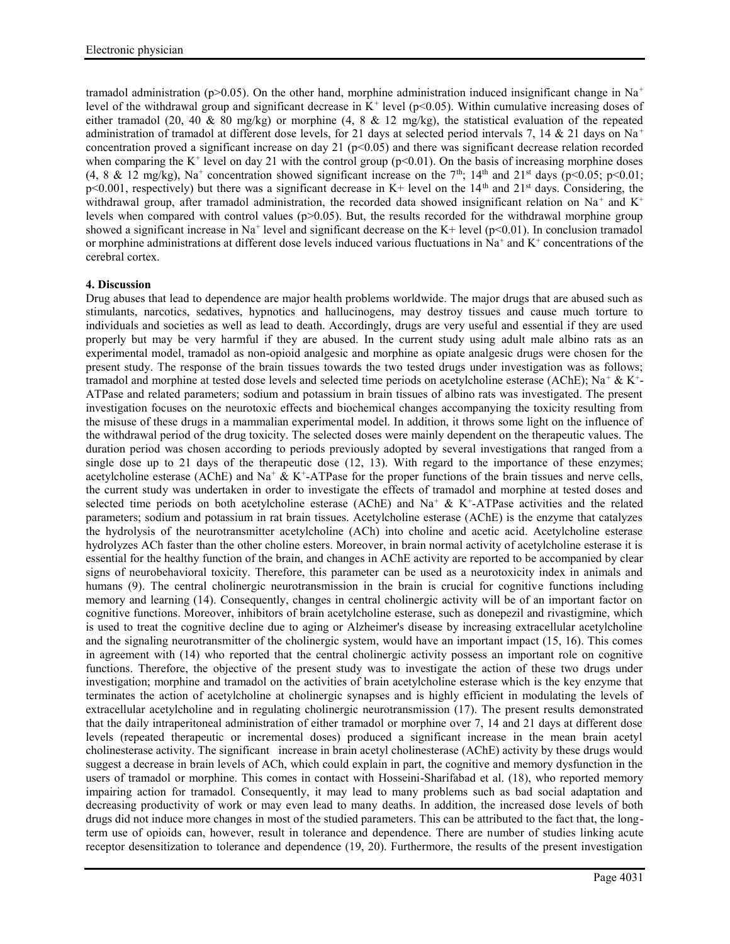tramadol administration (p>0.05). On the other hand, morphine administration induced insignificant change in Na<sup>+</sup> level of the withdrawal group and significant decrease in  $K^+$  level ( $p<0.05$ ). Within cumulative increasing doses of either tramadol (20, 40 & 80 mg/kg) or morphine (4, 8 & 12 mg/kg), the statistical evaluation of the repeated administration of tramadol at different dose levels, for 21 days at selected period intervals 7, 14 & 21 days on Na<sup>+</sup> concentration proved a significant increase on day 21 ( $p<0.05$ ) and there was significant decrease relation recorded when comparing the  $K^+$  level on day 21 with the control group ( $p<0.01$ ). On the basis of increasing morphine doses (4, 8 & 12 mg/kg), Na<sup>+</sup> concentration showed significant increase on the 7<sup>th</sup>; 14<sup>th</sup> and 21<sup>st</sup> days (p<0.05; p<0.01;  $p$ <0.001, respectively) but there was a significant decrease in K+ level on the  $14<sup>th</sup>$  and  $21<sup>st</sup>$  days. Considering, the withdrawal group, after tramadol administration, the recorded data showed insignificant relation on Na<sup>+</sup> and K<sup>+</sup> levels when compared with control values (p>0.05). But, the results recorded for the withdrawal morphine group showed a significant increase in Na<sup>+</sup> level and significant decrease on the K+ level ( $p$ <0.01). In conclusion tramadol or morphine administrations at different dose levels induced various fluctuations in  $Na<sup>+</sup>$  and  $K<sup>+</sup>$  concentrations of the cerebral cortex.

## **4. Discussion**

Drug abuses that lead to dependence are major health problems worldwide. The major drugs that are abused such as stimulants, narcotics, sedatives, hypnotics and hallucinogens, may destroy tissues and cause much torture to individuals and societies as well as lead to death. Accordingly, drugs are very useful and essential if they are used properly but may be very harmful if they are abused. In the current study using adult male albino rats as an experimental model, tramadol as non-opioid analgesic and morphine as opiate analgesic drugs were chosen for the present study. The response of the brain tissues towards the two tested drugs under investigation was as follows; tramadol and morphine at tested dose levels and selected time periods on acetylcholine esterase (AChE); Na<sup>+</sup> & K<sup>+</sup>-ATPase and related parameters; sodium and potassium in brain tissues of albino rats was investigated. The present investigation focuses on the neurotoxic effects and biochemical changes accompanying the toxicity resulting from the misuse of these drugs in a mammalian experimental model. In addition, it throws some light on the influence of the withdrawal period of the drug toxicity. The selected doses were mainly dependent on the therapeutic values. The duration period was chosen according to periods previously adopted by several investigations that ranged from a single dose up to 21 days of the therapeutic dose (12, 13). With regard to the importance of these enzymes: acetylcholine esterase (AChE) and Na<sup>+</sup>  $\&$  K<sup>+</sup>-ATPase for the proper functions of the brain tissues and nerve cells, the current study was undertaken in order to investigate the effects of tramadol and morphine at tested doses and selected time periods on both acetylcholine esterase (AChE) and Na<sup>+</sup> & K<sup>+</sup>-ATPase activities and the related parameters; sodium and potassium in rat brain tissues. Acetylcholine esterase (AChE) is the enzyme that catalyzes the hydrolysis of the neurotransmitter acetylcholine (ACh) into choline and acetic acid. Acetylcholine esterase hydrolyzes ACh faster than the other choline esters. Moreover, in brain normal activity of acetylcholine esterase it is essential for the healthy function of the brain, and changes in AChE activity are reported to be accompanied by clear signs of neurobehavioral toxicity. Therefore, this parameter can be used as a neurotoxicity index in animals and humans (9). The central cholinergic neurotransmission in the brain is crucial for cognitive functions including memory and learning (14). Consequently, changes in central cholinergic activity will be of an important factor on cognitive functions. Moreover, inhibitors of brain acetylcholine esterase, such as donepezil and rivastigmine, which is used to treat the cognitive decline due to aging or Alzheimer's disease by increasing extracellular acetylcholine and the signaling neurotransmitter of the cholinergic system, would have an important impact (15, 16). This comes in agreement with (14) who reported that the central cholinergic activity possess an important role on cognitive functions. Therefore, the objective of the present study was to investigate the action of these two drugs under investigation; morphine and tramadol on the activities of brain acetylcholine esterase which is the key enzyme that terminates the action of acetylcholine at cholinergic synapses and is highly efficient in modulating the levels of extracellular acetylcholine and in regulating cholinergic neurotransmission (17). The present results demonstrated that the daily intraperitoneal administration of either tramadol or morphine over 7, 14 and 21 days at different dose levels (repeated therapeutic or incremental doses) produced a significant increase in the mean brain acetyl cholinesterase activity. The significant increase in brain acetyl cholinesterase (AChE) activity by these drugs would suggest a decrease in brain levels of ACh, which could explain in part, the cognitive and memory dysfunction in the users of tramadol or morphine. This comes in contact with Hosseini-Sharifabad et al. (18), who reported memory impairing action for tramadol. Consequently, it may lead to many problems such as bad social adaptation and decreasing productivity of work or may even lead to many deaths. In addition, the increased dose levels of both drugs did not induce more changes in most of the studied parameters. This can be attributed to the fact that, the longterm use of opioids can, however, result in tolerance and dependence. There are number of studies linking acute receptor desensitization to tolerance and dependence (19, 20). Furthermore, the results of the present investigation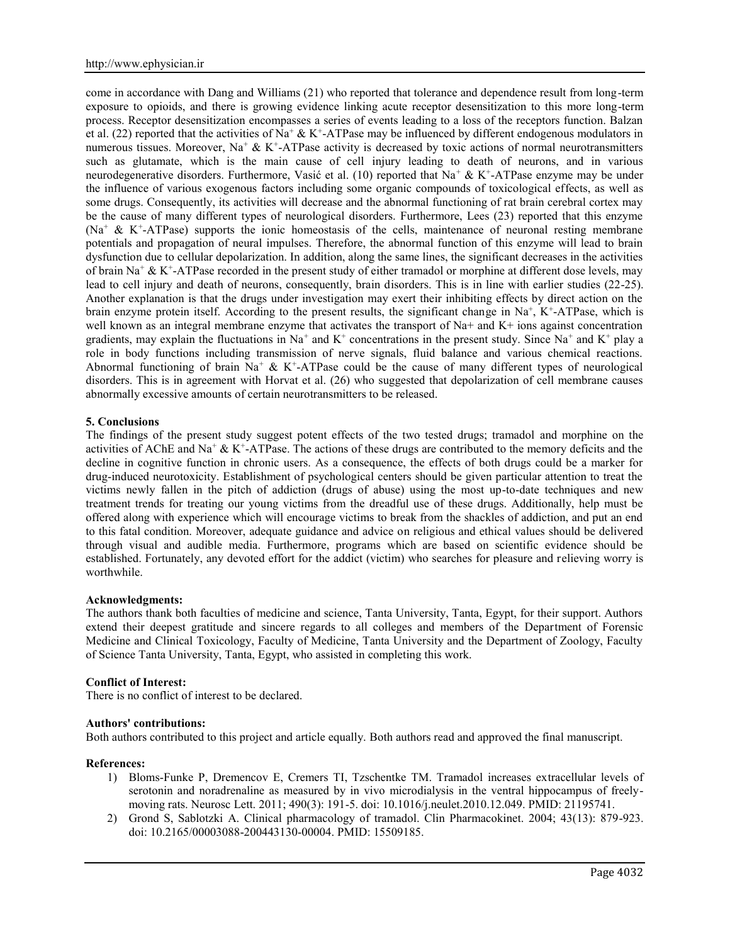come in accordance with Dang and Williams (21) who reported that tolerance and dependence result from long-term exposure to opioids, and there is growing evidence linking acute receptor desensitization to this more long-term process. Receptor desensitization encompasses a series of events leading to a loss of the receptors function. Balzan et al. (22) reported that the activities of Na<sup>+</sup> & K<sup>+</sup>-ATPase may be influenced by different endogenous modulators in numerous tissues. Moreover, Na<sup>+</sup> & K<sup>+</sup>-ATPase activity is decreased by toxic actions of normal neurotransmitters such as glutamate, which is the main cause of cell injury leading to death of neurons, and in various neurodegenerative disorders. Furthermore, Vasić et al. (10) reported that Na<sup>+</sup> & K<sup>+</sup>-ATPase enzyme may be under the influence of various exogenous factors including some organic compounds of toxicological effects, as well as some drugs. Consequently, its activities will decrease and the abnormal functioning of rat brain cerebral cortex may be the cause of many different types of neurological disorders. Furthermore, Lees (23) reported that this enzyme  $(Na^+ \& K^+$ -ATPase) supports the ionic homeostasis of the cells, maintenance of neuronal resting membrane potentials and propagation of neural impulses. Therefore, the abnormal function of this enzyme will lead to brain dysfunction due to cellular depolarization. In addition, along the same lines, the significant decreases in the activities of brain Na<sup>+</sup> & K<sup>+</sup>-ATPase recorded in the present study of either tramadol or morphine at different dose levels, may lead to cell injury and death of neurons, consequently, brain disorders. This is in line with earlier studies (22-25). Another explanation is that the drugs under investigation may exert their inhibiting effects by direct action on the brain enzyme protein itself. According to the present results, the significant change in Na<sup>+</sup>, K<sup>+</sup>-ATPase, which is well known as an integral membrane enzyme that activates the transport of Na+ and K+ ions against concentration gradients, may explain the fluctuations in Na<sup>+</sup> and K<sup>+</sup> concentrations in the present study. Since Na<sup>+</sup> and K<sup>+</sup> play a role in body functions including transmission of nerve signals, fluid balance and various chemical reactions. Abnormal functioning of brain Na<sup>+</sup> & K<sup>+</sup>-ATPase could be the cause of many different types of neurological disorders. This is in agreement with Horvat et al. (26) who suggested that depolarization of cell membrane causes abnormally excessive amounts of certain neurotransmitters to be released.

### **5. Conclusions**

The findings of the present study suggest potent effects of the two tested drugs; tramadol and morphine on the activities of AChE and Na<sup>+</sup>  $\&$  K<sup>+</sup>-ATPase. The actions of these drugs are contributed to the memory deficits and the decline in cognitive function in chronic users. As a consequence, the effects of both drugs could be a marker for drug-induced neurotoxicity. Establishment of psychological centers should be given particular attention to treat the victims newly fallen in the pitch of addiction (drugs of abuse) using the most up-to-date techniques and new treatment trends for treating our young victims from the dreadful use of these drugs. Additionally, help must be offered along with experience which will encourage victims to break from the shackles of addiction, and put an end to this fatal condition. Moreover, adequate guidance and advice on religious and ethical values should be delivered through visual and audible media. Furthermore, programs which are based on scientific evidence should be established. Fortunately, any devoted effort for the addict (victim) who searches for pleasure and relieving worry is worthwhile.

### **Acknowledgments:**

The authors thank both faculties of medicine and science, Tanta University, Tanta, Egypt, for their support. Authors extend their deepest gratitude and sincere regards to all colleges and members of the Department of Forensic Medicine and Clinical Toxicology, Faculty of Medicine, Tanta University and the Department of Zoology, Faculty of Science Tanta University, Tanta, Egypt, who assisted in completing this work.

### **Conflict of Interest:**

There is no conflict of interest to be declared.

### **Authors' contributions:**

Both authors contributed to this project and article equally. Both authors read and approved the final manuscript.

### **References:**

- 1) Bloms-Funke P, Dremencov E, Cremers TI, Tzschentke TM. Tramadol increases extracellular levels of serotonin and noradrenaline as measured by in vivo microdialysis in the ventral hippocampus of freely moving rats. Neurosc Lett. 2011; 490(3): 191-5. doi: 10.1016/j.neulet.2010.12.049. PMID: 21195741.
- 2) Grond S, Sablotzki A. Clinical pharmacology of tramadol. Clin Pharmacokinet. 2004; 43(13): 879-923. doi: 10.2165/00003088-200443130-00004. PMID: 15509185.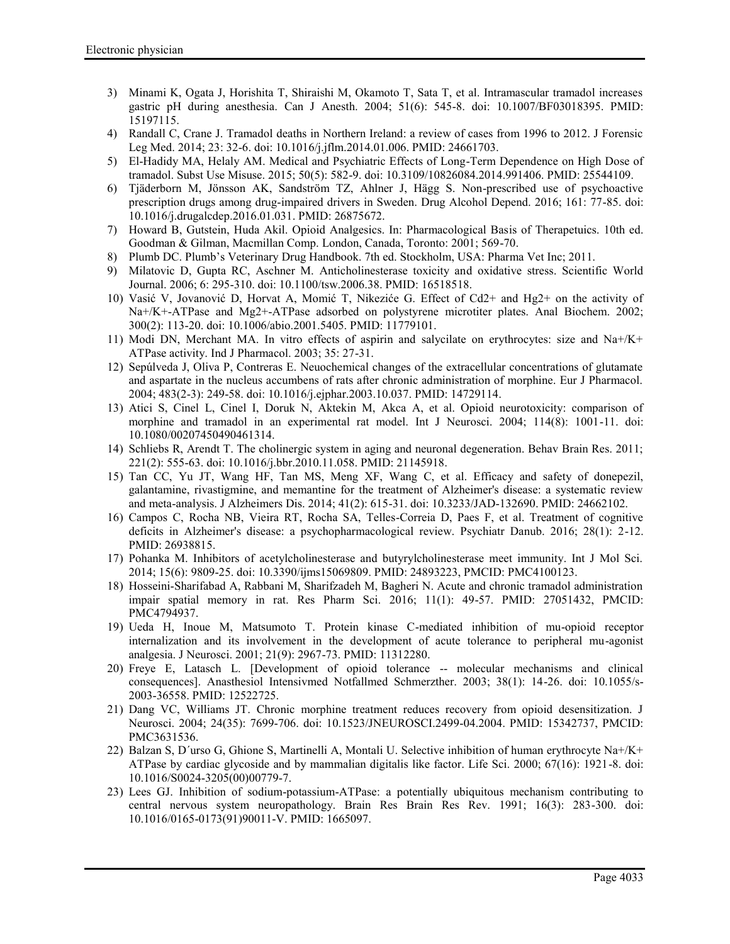- 3) Minami K, Ogata J, Horishita T, Shiraishi M, Okamoto T, Sata T, et al. Intramascular tramadol increases gastric pH during anesthesia. Can J Anesth. 2004; 51(6): 545-8. doi: 10.1007/BF03018395. PMID: 15197115.
- 4) Randall C, Crane J. Tramadol deaths in Northern Ireland: a review of cases from 1996 to 2012. J Forensic Leg Med. 2014; 23: 32-6. doi: 10.1016/j.jflm.2014.01.006. PMID: 24661703.
- 5) El-Hadidy MA, Helaly AM. Medical and Psychiatric Effects of Long-Term Dependence on High Dose of tramadol. Subst Use Misuse. 2015; 50(5): 582-9. doi: 10.3109/10826084.2014.991406. PMID: 25544109.
- 6) Tjäderborn M, Jönsson AK, Sandström TZ, Ahlner J, Hägg S. Non-prescribed use of psychoactive prescription drugs among drug-impaired drivers in Sweden. Drug Alcohol Depend. 2016; 161: 77-85. doi: 10.1016/j.drugalcdep.2016.01.031. PMID: 26875672.
- 7) Howard B, Gutstein, Huda Akil. Opioid Analgesics. In: Pharmacological Basis of Therapetuics. 10th ed. Goodman & Gilman, Macmillan Comp. London, Canada, Toronto: 2001; 569-70.
- 8) Plumb DC. Plumb's Veterinary Drug Handbook. 7th ed. Stockholm, USA: Pharma Vet Inc; 2011.
- 9) Milatovic D, Gupta RC, Aschner M. Anticholinesterase toxicity and oxidative stress. Scientific World Journal. 2006; 6: 295-310. doi: 10.1100/tsw.2006.38. PMID: 16518518.
- 10) Vasić V, Jovanović D, Horvat A, Momić T, Nikeziće G. Effect of Cd2+ and Hg2+ on the activity of Na+/K+-ATPase and Mg2+-ATPase adsorbed on polystyrene microtiter plates. Anal Biochem. 2002; 300(2): 113-20. doi: 10.1006/abio.2001.5405. PMID: 11779101.
- 11) Modi DN, Merchant MA. In vitro effects of aspirin and salycilate on erythrocytes: size and Na+/K+ ATPase activity. Ind J Pharmacol. 2003; 35: 27-31.
- 12) Sepúlveda J, Oliva P, Contreras E. Neuochemical changes of the extracellular concentrations of glutamate and aspartate in the nucleus accumbens of rats after chronic administration of morphine. Eur J Pharmacol. 2004; 483(2-3): 249-58. doi: 10.1016/j.ejphar.2003.10.037. PMID: 14729114.
- 13) Atici S, Cinel L, Cinel I, Doruk N, Aktekin M, Akca A, et al. Opioid neurotoxicity: comparison of morphine and tramadol in an experimental rat model. Int J Neurosci. 2004; 114(8): 1001-11. doi: 10.1080/00207450490461314.
- 14) Schliebs R, Arendt T. The cholinergic system in aging and neuronal degeneration. Behav Brain Res. 2011; 221(2): 555-63. doi: 10.1016/j.bbr.2010.11.058. PMID: 21145918.
- 15) Tan CC, Yu JT, Wang HF, Tan MS, Meng XF, Wang C, et al. Efficacy and safety of donepezil, galantamine, rivastigmine, and memantine for the treatment of Alzheimer's disease: a systematic review and meta-analysis. J Alzheimers Dis. 2014; 41(2): 615-31. doi: 10.3233/JAD-132690. PMID: 24662102.
- 16) Campos C, Rocha NB, Vieira RT, Rocha SA, Telles-Correia D, Paes F, et al. Treatment of cognitive deficits in Alzheimer's disease: a psychopharmacological review. Psychiatr Danub. 2016; 28(1): 2-12. PMID: 26938815.
- 17) Pohanka M. Inhibitors of acetylcholinesterase and butyrylcholinesterase meet immunity. Int J Mol Sci. 2014; 15(6): 9809-25. doi: 10.3390/ijms15069809. PMID: 24893223, PMCID: PMC4100123.
- 18) Hosseini-Sharifabad A, Rabbani M, Sharifzadeh M, Bagheri N. Acute and chronic tramadol administration impair spatial memory in rat. Res Pharm Sci. 2016; 11(1): 49-57. PMID: 27051432, PMCID: PMC4794937.
- 19) Ueda H, Inoue M, Matsumoto T. Protein kinase C-mediated inhibition of mu-opioid receptor internalization and its involvement in the development of acute tolerance to peripheral mu-agonist analgesia. J Neurosci. 2001; 21(9): 2967-73. PMID: 11312280.
- 20) Freye E, Latasch L. [Development of opioid tolerance -- molecular mechanisms and clinical consequences]. Anasthesiol Intensivmed Notfallmed Schmerzther. 2003; 38(1): 14-26. doi: 10.1055/s- 2003-36558. PMID: 12522725.
- 21) Dang VC, Williams JT. Chronic morphine treatment reduces recovery from opioid desensitization. J Neurosci. 2004; 24(35): 7699-706. doi: 10.1523/JNEUROSCI.2499-04.2004. PMID: 15342737, PMCID: PMC3631536.
- 22) Balzan S, D´urso G, Ghione S, Martinelli A, Montali U. Selective inhibition of human erythrocyte Na+/K+ ATPase by cardiac glycoside and by mammalian digitalis like factor. Life Sci. 2000; 67(16): 1921-8. doi: 10.1016/S0024-3205(00)00779-7.
- 23) Lees GJ. Inhibition of sodium-potassium-ATPase: a potentially ubiquitous mechanism contributing to central nervous system neuropathology. Brain Res Brain Res Rev. 1991; 16(3): 283-300. doi: 10.1016/0165-0173(91)90011-V. PMID: 1665097.